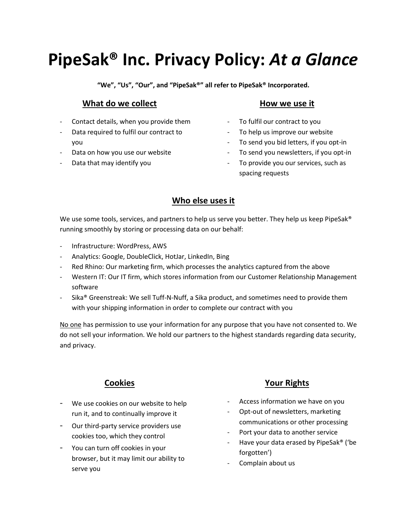# **PipeSak® Inc. Privacy Policy:** *At a Glance*

**"We", "Us", "Our", and "PipeSak®" all refer to PipeSak® Incorporated.**

## **What do we collect**

- Contact details, when you provide them
- Data required to fulfil our contract to you
- Data on how you use our website
- Data that may identify you

## **How we use it**

- To fulfil our contract to you
- To help us improve our website
- To send you bid letters, if you opt-in
- To send you newsletters, if you opt-in
- To provide you our services, such as spacing requests

## **Who else uses it**

We use some tools, services, and partners to help us serve you better. They help us keep PipeSak® running smoothly by storing or processing data on our behalf:

- Infrastructure: WordPress, AWS
- Analytics: Google, DoubleClick, HotJar, LinkedIn, Bing
- Red Rhino: Our marketing firm, which processes the analytics captured from the above
- Western IT: Our IT firm, which stores information from our Customer Relationship Management software
- Sika® Greenstreak: We sell Tuff-N-Nuff, a Sika product, and sometimes need to provide them with your shipping information in order to complete our contract with you

No one has permission to use your information for any purpose that you have not consented to. We do not sell your information. We hold our partners to the highest standards regarding data security, and privacy.

## **Cookies**

- We use cookies on our website to help run it, and to continually improve it
- Our third-party service providers use cookies too, which they control
- You can turn off cookies in your browser, but it may limit our ability to serve you

## **Your Rights**

- Access information we have on you
- Opt-out of newsletters, marketing communications or other processing
- Port your data to another service
- Have your data erased by PipeSak® ('be forgotten')
- Complain about us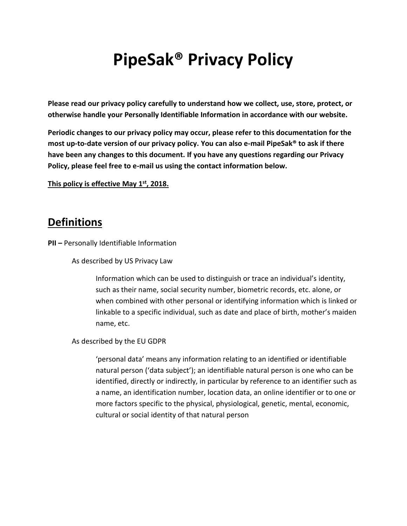# **PipeSak® Privacy Policy**

**Please read our privacy policy carefully to understand how we collect, use, store, protect, or otherwise handle your Personally Identifiable Information in accordance with our website.**

**Periodic changes to our privacy policy may occur, please refer to this documentation for the most up-to-date version of our privacy policy. You can also e-mail PipeSak® to ask if there have been any changes to this document. If you have any questions regarding our Privacy Policy, please feel free to e-mail us using the contact information below.**

**This policy is effective May 1 st, 2018.**

## **Definitions**

**PII –** Personally Identifiable Information

As described by US Privacy Law

Information which can be used to distinguish or trace an individual's identity, such as their name, social security number, biometric records, etc. alone, or when combined with other personal or identifying information which is linked or linkable to a specific individual, such as date and place of birth, mother's maiden name, etc.

As described by the EU GDPR

'personal data' means any information relating to an identified or identifiable natural person ('data subject'); an identifiable natural person is one who can be identified, directly or indirectly, in particular by reference to an identifier such as a name, an identification number, location data, an online identifier or to one or more factors specific to the physical, physiological, genetic, mental, economic, cultural or social identity of that natural person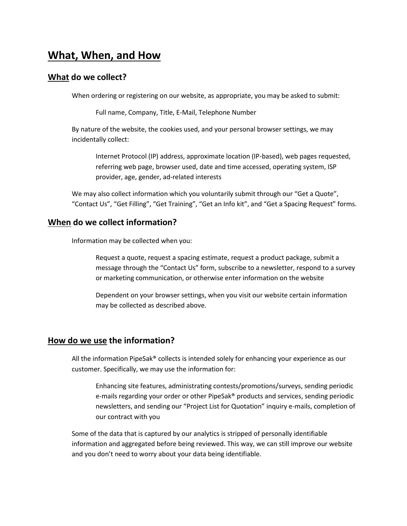## **What, When, and How**

## **What do we collect?**

When ordering or registering on our website, as appropriate, you may be asked to submit:

Full name, Company, Title, E-Mail, Telephone Number

By nature of the website, the cookies used, and your personal browser settings, we may incidentally collect:

Internet Protocol (IP) address, approximate location (IP-based), web pages requested, referring web page, browser used, date and time accessed, operating system, ISP provider, age, gender, ad-related interests

We may also collect information which you voluntarily submit through our "Get a Quote", "Contact Us", "Get Filling", "Get Training", "Get an Info kit", and "Get a Spacing Request" forms.

## **When do we collect information?**

Information may be collected when you:

Request a quote, request a spacing estimate, request a product package, submit a message through the "Contact Us" form, subscribe to a newsletter, respond to a survey or marketing communication, or otherwise enter information on the website

Dependent on your browser settings, when you visit our website certain information may be collected as described above.

#### **How do we use the information?**

All the information PipeSak® collects is intended solely for enhancing your experience as our customer. Specifically, we may use the information for:

Enhancing site features, administrating contests/promotions/surveys, sending periodic e-mails regarding your order or other PipeSak® products and services, sending periodic newsletters, and sending our "Project List for Quotation" inquiry e-mails, completion of our contract with you

Some of the data that is captured by our analytics is stripped of personally identifiable information and aggregated before being reviewed. This way, we can still improve our website and you don't need to worry about your data being identifiable.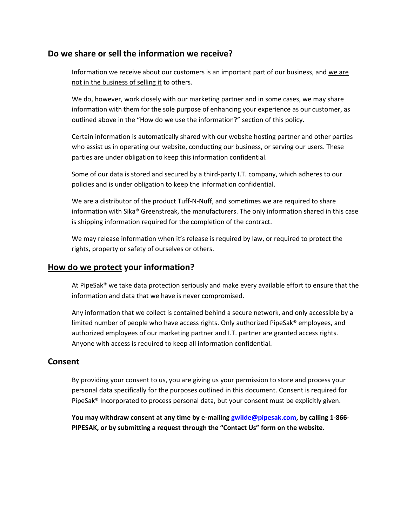## **Do we share or sell the information we receive?**

Information we receive about our customers is an important part of our business, and we are not in the business of selling it to others.

We do, however, work closely with our marketing partner and in some cases, we may share information with them for the sole purpose of enhancing your experience as our customer, as outlined above in the "How do we use the information?" section of this policy.

Certain information is automatically shared with our website hosting partner and other parties who assist us in operating our website, conducting our business, or serving our users. These parties are under obligation to keep this information confidential.

Some of our data is stored and secured by a third-party I.T. company, which adheres to our policies and is under obligation to keep the information confidential.

We are a distributor of the product Tuff-N-Nuff, and sometimes we are required to share information with Sika® Greenstreak, the manufacturers. The only information shared in this case is shipping information required for the completion of the contract.

We may release information when it's release is required by law, or required to protect the rights, property or safety of ourselves or others.

## **How do we protect your information?**

At PipeSak® we take data protection seriously and make every available effort to ensure that the information and data that we have is never compromised.

Any information that we collect is contained behind a secure network, and only accessible by a limited number of people who have access rights. Only authorized PipeSak® employees, and authorized employees of our marketing partner and I.T. partner are granted access rights. Anyone with access is required to keep all information confidential.

## **Consent**

By providing your consent to us, you are giving us your permission to store and process your personal data specifically for the purposes outlined in this document. Consent is required for PipeSak® Incorporated to process personal data, but your consent must be explicitly given.

**You may withdraw consent at any time by e-mailing [gwilde@pipesak.com,](mailto:gwilde@pipesak.com) by calling 1-866- PIPESAK, or by submitting a request through the "Contact Us" form on the website.**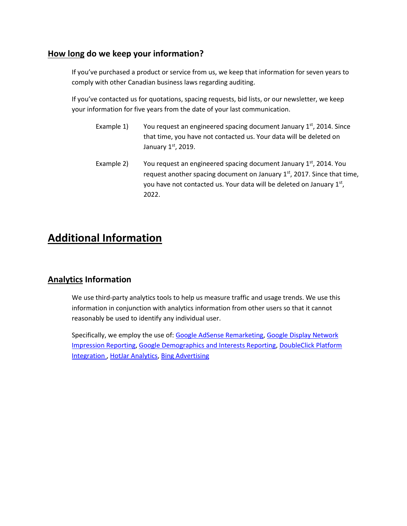## **How long do we keep your information?**

If you've purchased a product or service from us, we keep that information for seven years to comply with other Canadian business laws regarding auditing.

If you've contacted us for quotations, spacing requests, bid lists, or our newsletter, we keep your information for five years from the date of your last communication.

- Example 1) You request an engineered spacing document January  $1<sup>st</sup>$ , 2014. Since that time, you have not contacted us. Your data will be deleted on January 1st, 2019.
- Example 2) You request an engineered spacing document January  $1<sup>st</sup>$ , 2014. You request another spacing document on January  $1<sup>st</sup>$ , 2017. Since that time, you have not contacted us. Your data will be deleted on January 1st, 2022.

## **Additional Information**

## **Analytics Information**

We use third-party analytics tools to help us measure traffic and usage trends. We use this information in conjunction with analytics information from other users so that it cannot reasonably be used to identify any individual user.

Specifically, we employ the use of: [Google AdSense Remarketing,](https://support.google.com/adwords/answer/2453998?hl=en) [Google Display Network](https://analytics.googleblog.com/2013/06/see-full-impact-of-unclicked-display.html)  [Impression Reporting,](https://analytics.googleblog.com/2013/06/see-full-impact-of-unclicked-display.html) [Google Demographics and Interests Reporting,](https://support.google.com/analytics/answer/2799357?hl=en) [DoubleClick Platform](https://www.thinkwithgoogle.com/intl/en-154/products/doubleclick/)  [Integration](https://www.thinkwithgoogle.com/intl/en-154/products/doubleclick/) [, HotJar Analytics,](https://www.hotjar.com/) [Bing Advertising](https://secure.bingads.microsoft.com/)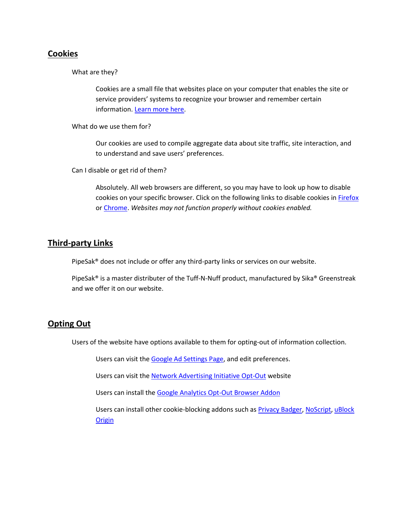## **Cookies**

What are they?

Cookies are a small file that websites place on your computer that enables the site or service providers' systems to recognize your browser and remember certain information. [Learn more here.](https://en.wikipedia.org/wiki/HTTP_cookie)

What do we use them for?

Our cookies are used to compile aggregate data about site traffic, site interaction, and to understand and save users' preferences.

Can I disable or get rid of them?

Absolutely. All web browsers are different, so you may have to look up how to disable cookies on your specific browser. Click on the following links to disable cookies in [Firefox](https://support.mozilla.org/en-US/kb/enable-and-disable-cookies-website-preferences) or [Chrome.](https://support.google.com/accounts/answer/61416?co=GENIE.Platform%3DDesktop&hl=en) *Websites may not function properly without cookies enabled.*

## **Third-party Links**

PipeSak® does not include or offer any third-party links or services on our website.

PipeSak® is a master distributer of the Tuff-N-Nuff product, manufactured by Sika® Greenstreak and we offer it on our website.

#### **Opting Out**

Users of the website have options available to them for opting-out of information collection.

Users can visit th[e Google Ad Settings Page,](https://adssettings.google.com/) and edit preferences.

Users can visit th[e Network Advertising Initiative Opt-Out](http://optout.networkadvertising.org/) website

Users can install the [Google Analytics Opt-Out Browser Addon](https://tools.google.com/dlpage/gaoptout)

Users can install other cookie-blocking addons such as [Privacy Badger,](https://www.eff.org/privacybadger) [NoScript,](https://noscript.net/) [uBlock](https://www.ublock.org/)  **[Origin](https://www.ublock.org/)**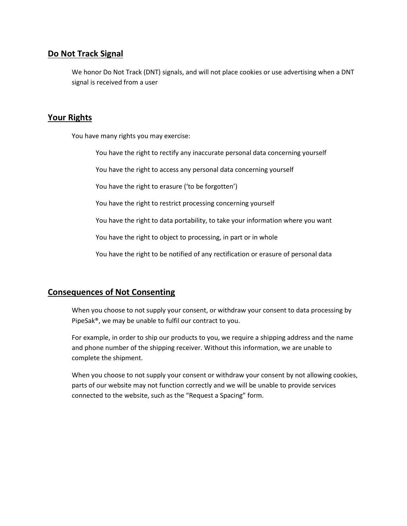## **Do Not Track Signal**

We honor Do Not Track (DNT) signals, and will not place cookies or use advertising when a DNT signal is received from a user

## **Your Rights**

You have many rights you may exercise:

You have the right to rectify any inaccurate personal data concerning yourself

You have the right to access any personal data concerning yourself

You have the right to erasure ('to be forgotten')

You have the right to restrict processing concerning yourself

You have the right to data portability, to take your information where you want

You have the right to object to processing, in part or in whole

You have the right to be notified of any rectification or erasure of personal data

## **Consequences of Not Consenting**

When you choose to not supply your consent, or withdraw your consent to data processing by PipeSak®, we may be unable to fulfil our contract to you.

For example, in order to ship our products to you, we require a shipping address and the name and phone number of the shipping receiver. Without this information, we are unable to complete the shipment.

When you choose to not supply your consent or withdraw your consent by not allowing cookies, parts of our website may not function correctly and we will be unable to provide services connected to the website, such as the "Request a Spacing" form.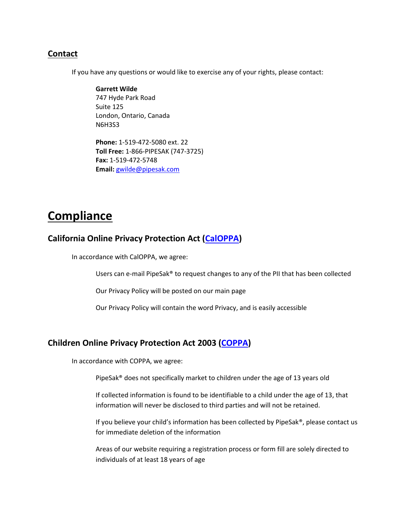## **Contact**

If you have any questions or would like to exercise any of your rights, please contact:

#### **Garrett Wilde**

747 Hyde Park Road Suite 125 London, Ontario, Canada N6H3S3

**Phone:** 1-519-472-5080 ext. 22 **Toll Free:** 1-866-PIPESAK (747-3725) **Fax:** 1-519-472-5748 **Email:** [gwilde@pipesak.com](mailto:gwilde@pipesak.com)

## **Compliance**

#### **California Online Privacy Protection Act [\(CalOPPA\)](https://leginfo.legislature.ca.gov/faces/codes_displaySection.xhtml?lawCode=BPC§ionNum=22575)**

In accordance with CalOPPA, we agree:

Users can e-mail PipeSak® to request changes to any of the PII that has been collected

Our Privacy Policy will be posted on our main page

Our Privacy Policy will contain the word Privacy, and is easily accessible

## **Children Online Privacy Protection Act 2003 [\(COPPA\)](https://www.ftc.gov/enforcement/rules/rulemaking-regulatory-reform-proceedings/childrens-online-privacy-protection-rule)**

In accordance with COPPA, we agree:

PipeSak® does not specifically market to children under the age of 13 years old

If collected information is found to be identifiable to a child under the age of 13, that information will never be disclosed to third parties and will not be retained.

If you believe your child's information has been collected by PipeSak®, please contact us for immediate deletion of the information

Areas of our website requiring a registration process or form fill are solely directed to individuals of at least 18 years of age